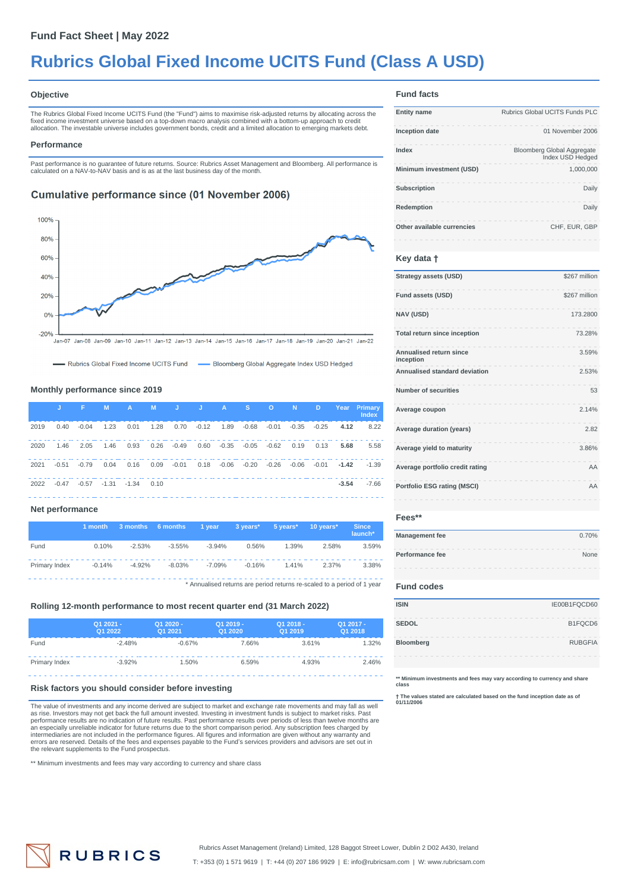# **Rubrics Global Fixed Income UCITS Fund (Class A USD)**

#### **Objective**

The Rubrics Global Fixed Income UCITS Fund (the "Fund") aims to maximise risk-adjusted returns by allocating across the fixed income investment universe based on a top-down macro analysis combined with a bottom-up approach to credit<br>allocation. The investable universe includes government bonds, credit and a limited allocation to emerging ma

#### **Performance**

Past performance is no guarantee of future returns. Source: Rubrics Asset Management and Bloomberg. All performance is calculated on a NAV-to-NAV basis and is as at the last business day of the month.

### **Cumulative performance since (01 November 2006)**



-Rubrics Global Fixed Income UCITS Fund - Bloomberg Global Aggregate Index USD Hedged

### **Monthly performance since 2019**

|      | U.      | <b>Albert Street</b> | <b>M</b>                     | $AA$ and $AA$ | <b>M</b> |                   | <b>J</b> J A S               |             | <b>CONSTRUCTION</b> |                         | <b>D</b> |                | Year Primary<br><b>Index</b> |
|------|---------|----------------------|------------------------------|---------------|----------|-------------------|------------------------------|-------------|---------------------|-------------------------|----------|----------------|------------------------------|
| 2019 | 0.40    | $-0.04$              | 1.23                         | 0.01          |          | 1.28  0.70  -0.12 | 1.89 -0.68                   |             |                     | $-0.01$ $-0.35$ $-0.25$ |          | 4.12           | 8.22                         |
| 2020 | 1.46    | 2.05                 | 1.46                         | 0.93          |          | 0.26 -0.49 0.60   | $-0.35$ $-0.05$ $-0.62$ 0.19 |             |                     |                         | 0.13     | 5.68           | 5.58                         |
| 2021 | $-0.51$ | $-0.79$              | 0.04                         | 0.16          | 0.09     | -0.01  0.18       |                              | -0.06 -0.20 |                     | -0.26 -0.06             |          | $-0.01 - 1.42$ | $-1.39$                      |
| 2022 | $-0.47$ |                      | $-0.57$ $-1.31$ $-1.34$ 0.10 |               |          |                   |                              |             |                     |                         |          | $-3.54$        | $-7.66$                      |

#### **Net performance**

|               | 1 month  | 3 months 6 months |          | 1 vear   | 3 years* | 5 vears* | 10 years*                                                               | <b>Since</b><br>launch* |
|---------------|----------|-------------------|----------|----------|----------|----------|-------------------------------------------------------------------------|-------------------------|
| Fund          | 0.10%    | $-2.53%$          | $-3.55%$ | $-3.94%$ | 0.56%    | 1.39%    | 2.58%                                                                   | 3.59%                   |
| Primary Index | $-0.14%$ | $-4.92%$          | $-8.03%$ | $-7.09%$ | $-0.16%$ | 1.41%    | 2.37%                                                                   | 3.38%                   |
|               |          |                   |          |          |          |          | * Annualised returns are period returns re-scaled to a period of 1 year |                         |

#### **Rolling 12-month performance to most recent quarter end (31 March 2022)**

|               | Q1 2021 -<br>Q1 2022 | Q1 2020 -<br>Q1 2021 | Q1 2019 -<br>Q1 2020 | Q1 2018 -<br>Q1 2019 | Q1 2017 -<br>Q1 2018 |
|---------------|----------------------|----------------------|----------------------|----------------------|----------------------|
| Fund          | $-2.48%$             | $-0.67%$             | 7.66%                | 3.61%                | 1.32%                |
| Primary Index | $-3.92%$             | 1.50%                | 6.59%                | 4.93%                | 2.46%                |

#### **Risk factors you should consider before investing**

The value of investments and any income derived are subject to market and exchange rate movements and may fall as well<br>as rise. Investors may not get back the full amount invested. Investing in investment funds is subject errors are reserved. Details of the fees and expenses payable to the Fund's services providers and advisors are set out in the relevant supplements to the Fund prospectus.

\*\* Minimum investments and fees may vary according to currency and share class

#### **Fund facts**

| <b>Entity name</b>         | Rubrics Global UCITS Funds PLC                        |
|----------------------------|-------------------------------------------------------|
| Inception date             | 01 November 2006                                      |
| Index                      | <b>Bloomberg Global Aggregate</b><br>Index USD Hedged |
| Minimum investment (USD)   | 1.000.000                                             |
| Subscription               | Daily                                                 |
| Redemption                 | Daily                                                 |
| Other available currencies | CHF, EUR, GBP                                         |

#### **Key data †**

| Strategy assets (USD)                | \$267 million |
|--------------------------------------|---------------|
| Fund assets (USD)                    | \$267 million |
| <b>NAV (USD)</b>                     | 173,2800      |
| Total return since inception         | 73.28%        |
| Annualised return since<br>inception | 3.59%         |
| Annualised standard deviation        | 2.53%         |
| Number of securities                 | 53            |
| Average coupon                       | 2.14%         |
| Average duration (years)             | 2.82          |
| Average yield to maturity            | 3.86%         |
| Average portfolio credit rating      | AA            |
| <b>Portfolio ESG rating (MSCI)</b>   | AA            |
|                                      |               |

### **Fees\*\***

| <b>Management fee</b> | 0.70% |
|-----------------------|-------|
| Performance fee       | None  |
|                       |       |

#### **Fund codes**

| <b>ISIN</b>  | IE00B1FQCD60   |
|--------------|----------------|
| <b>SEDOL</b> | B1FQCD6        |
| Bloomberg    | <b>RUBGFIA</b> |
|              |                |

**\*\* Minimum investments and fees may vary according to currency and share class**

**† The values stated are calculated based on the fund inception date as of 01/11/2006**

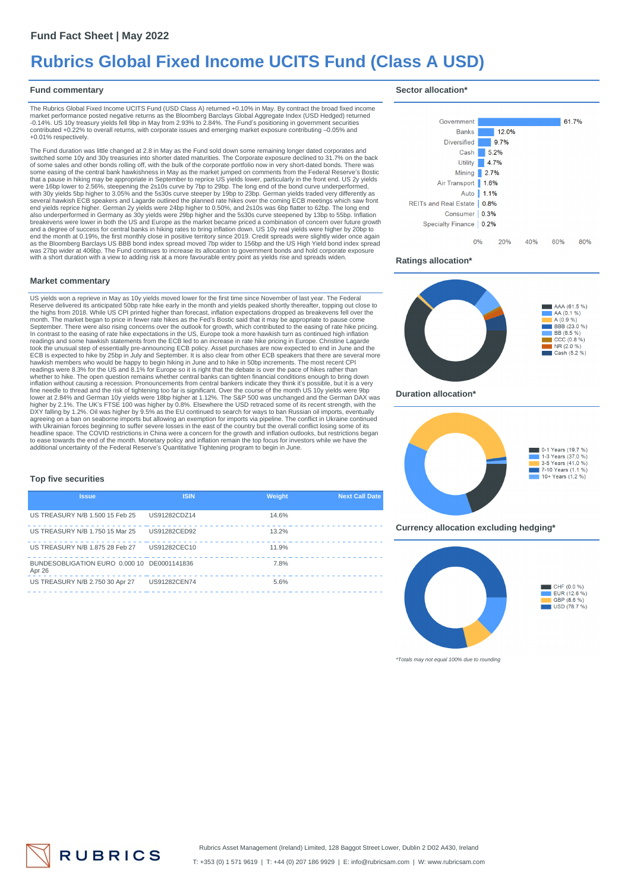## **Rubrics Global Fixed Income UCITS Fund (Class A USD)**

#### **Fund commentary**

#### **Sector allocation\***

The Rubrics Global Fixed Income UCITS Fund (USD Class A) returned +0.10% in May. By contract the broad fixed income<br>market performance posted negative returns as the Bloomberg Barclays Global Aggregate Index (USD Hedged) r contributed +0.22% to overall returns, with corporate issues and emerging market exposure contributing –0.05% and +0.01% respectively.

The Fund duration was little changed at 2.8 in May as the Fund sold down some remaining longer dated corporates and<br>switched some 10y and 30y treasuries into shorter dated maturities. The Corporate exposure declined to 31. of some sales and other bonds rolling off, with the bulk of the corporate portfolio now in very short-dated bonds. There was<br>some easing of the central bank hawkishness in May as the market jumped on comments from the Fede that a pause in hiking may be appropriate in September to reprice US yields lower, particularly in the front end. US 2y yields<br>were 16bp lower to 2.56%, steepening the 2s10s curve by 7bp to 29bp. The long end of the bond c several hawkish ECB speakers and Lagarde outlined the planned rate hikes over the coming ECB meetings which saw front<br>end yields reprice higher. German 2y yields were 24bp higher to 0.50%, and 2s10s was 6bp flatter to 62bp end the month at 0.19%, the first monthly close in positive territory since 2019. Credit spreads were slightly wider once again as the Bloomberg Barclays US BBB bond index spread moved 7bp wider to 156bp and the US High Yield bond index spread<br>was 27bp wider at 406bp. The Fund continues to increase its allocation to government bonds and hold corpor with a short duration with a view to adding risk at a more favourable entry point as yields rise and spreads widen.

#### **Market commentary**

US yields won a reprieve in May as 10y yields moved lower for the first time since November of last year. The Federal<br>Reserve delivered its anticipated 50bp rate hike early in the month and yields peaked shortly thereafter readings and some hawkish statements from the ECB led to an increase in rate hike pricing in Europe. Christine Lagarde<br>took the unusual step of essentially pre-announcing ECB policy. Asset purchases are now expected to end whether to hike. The open question remains whether central banks can tighten financial conditions enough to bring down<br>inflation without causing a recession. Pronouncements from central bankers indicate they think it's pos fine needle to thread and the risk of tightening too far is significant. Over the course of the month US 10y yields were 9bp<br>lower at 2.84% and German 10y yields were 18bp higher at 1.12%. The S&P 500 was unchanged and the headline space. The COVID restrictions in China were a concern for the growth and inflation outlooks, but restrictions began<br>to ease towards the end of the month. Monetary policy and inflation remain the top focus for inve

#### **Top five securities**

| <b>Issue</b>                                          | <b>ISIN</b>         | Weight | <b>Next Call Date</b> |
|-------------------------------------------------------|---------------------|--------|-----------------------|
| US TREASURY N/B 1.500 15 Feb 25                       | US91282CDZ14        | 14.6%  |                       |
| US TREASURY N/B 1.750 15 Mar 25                       | US91282CED92        | 13.2%  |                       |
| US TREASURY N/B 1.875 28 Feb 27                       | US91282CEC10        | 11.9%  |                       |
| BUNDESOBLIGATION EURO 0.000 10 DE0001141836<br>Apr 26 |                     | 7.8%   |                       |
| US TREASURY N/B 2.750 30 Apr 27                       | <b>US91282CEN74</b> | 5.6%   |                       |



#### **Ratings allocation\***



#### **Duration allocation\***



**Currency allocation excluding hedging\***



\*Totals may not equal 100% due to rounding